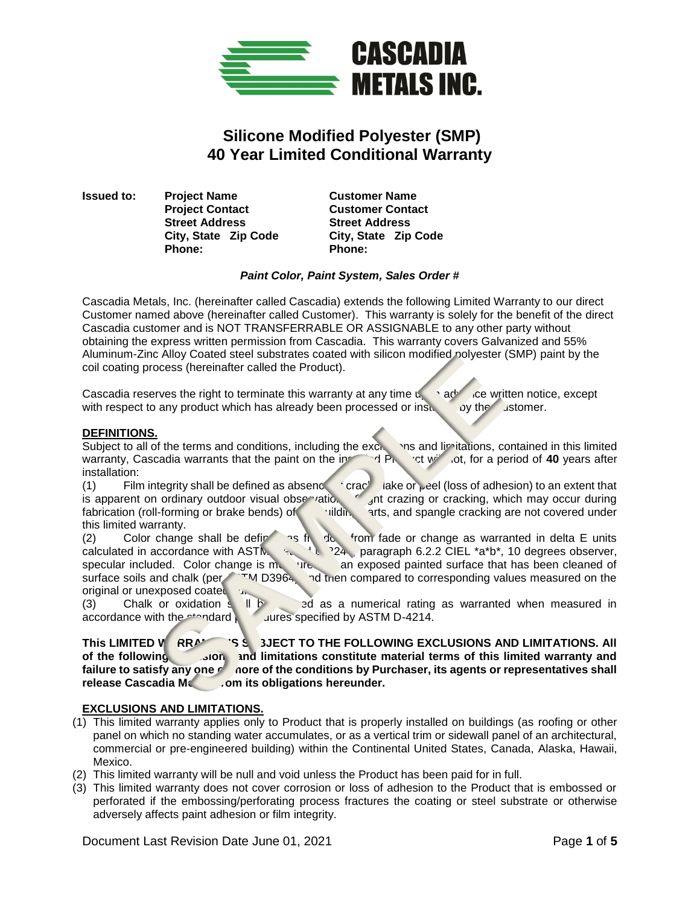

# **Silicone Modified Polyester (SMP) 40 Year Limited Conditional Warranty**

**Issued to: Project Name Customer Name Project Contact Customer Contact Street Address Street Address Phone: Phone:** 

**City, State Zip Code City, State Zip Code**

#### *Paint Color, Paint System, Sales Order #*

Cascadia Metals, Inc. (hereinafter called Cascadia) extends the following Limited Warranty to our direct Customer named above (hereinafter called Customer). This warranty is solely for the benefit of the direct Cascadia customer and is NOT TRANSFERRABLE OR ASSIGNABLE to any other party without obtaining the express written permission from Cascadia. This warranty covers Galvanized and 55% Aluminum-Zinc Alloy Coated steel substrates coated with silicon modified polyester (SMP) paint by the coil coating process (hereinafter called the Product).

Cascadia reserves the right to terminate this warranty at any time upon advance written notice, except with respect to any product which has already been processed or install by the Customer.

## **DEFINITIONS.**

Subject to all of the terms and conditions, including the exclusions and limitations, contained in this limited warranty, Cascadia warrants that the paint on the indeed of  $\frac{1}{2}$  ot will not for a period of 40 vears af warranty, Cascadia warrants that the paint on the installed Product will not, for a period of 40 years after installation:

(1) Film integrity shall be defined as absence of crack, flake or peel (loss of adhesion) to an extent that is apparent on ordinary outdoor visual observation.  $\int$  int crazing or cracking, which may occur during fabrication (roll-forming or brake bends) of the building parts, and spangle cracking are not covered under this limited warranty.

(2) Color change shall be defined as figure 1. From fade or change as warranted in delta E units calculated in accordance with ASTM  $\frac{1}{2}$ ,  $\frac{1}{2}$ , paragraph 6.2.2 CIEL \*a\*b\*, 10 degrees observer, specular included. Color change is measured an exposed painted surface that has been cleaned of surface soils and chalk (per ASTM D3964) and then compared to corresponding values measured on the original or unexposed coated surface

(3) Chalk or oxidation  $s \parallel b$  ad as a numerical rating as warranted when measured in accordance with the standard process specified by ASTM D-4214.

This LIMITED WARA THE SANGLED TO THE FOLLOWING EXCLUSIONS AND LIMITATIONS. All of the following exclusion and limitations constitute material terms of this limited warranty and failure to satisfy any one *o* nore of the conditions by Purchaser, its agents or representatives shall release Cascadia Mc<sub>com</sub> its obligations hereunder.

#### **EXCLUSIONS AND LIMITATIONS.**

- (1) This limited warranty applies only to Product that is properly installed on buildings (as roofing or other panel on which no standing water accumulates, or as a vertical trim or sidewall panel of an architectural, commercial or pre-engineered building) within the Continental United States, Canada, Alaska, Hawaii, Mexico.
- (2) This limited warranty will be null and void unless the Product has been paid for in full.
- (3) This limited warranty does not cover corrosion or loss of adhesion to the Product that is embossed or perforated if the embossing/perforating process fractures the coating or steel substrate or otherwise adversely affects paint adhesion or film integrity.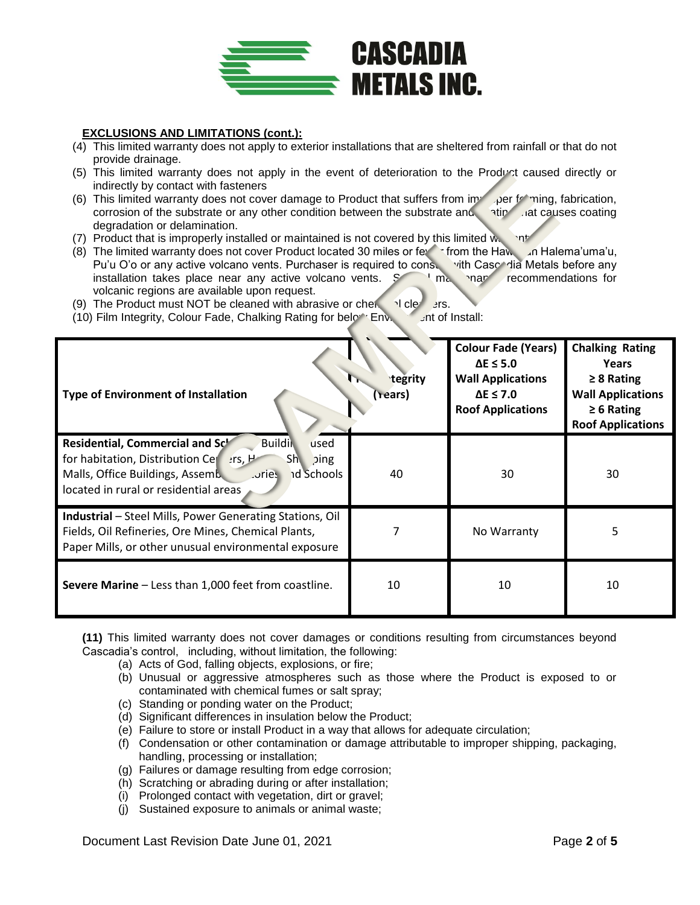

## **EXCLUSIONS AND LIMITATIONS (cont.):**

- (4) This limited warranty does not apply to exterior installations that are sheltered from rainfall or that do not provide drainage.
- (5) This limited warranty does not apply in the event of deterioration to the Product caused directly or indirectly by contact with fasteners
- (6) This limited warranty does not cover damage to Product that suffers from improper forming, fabrication, corrosion of the substrate or any other condition between the substrate and atipulat causes coating corrosion of the substrate or any other condition between the substrate and degradation or delamination.
- (7) Product that is improperly installed or maintained is not covered by this limited way not
- (8) The limited warranty does not cover Product located 30 miles or fewer from the Hawain Halema'uma'u, Pu'u O'o or any active volcano vents. Purchaser is required to conservith Cascalia Metals before any installation takes place near any active volcano vents.  $S_{\text{max}}$  maintenance recommendations for volcanic regions are available upon request.
- (9) The Product must NOT be cleaned with abrasive or chemical cleaners.
- (10) Film Integrity, Colour Fade, Chalking Rating for below Env.  $\Box$  ant of Install:

| <b>Type of Environment of Installation</b>                                                                                                                                                                                     | tegrity<br>rears) | <b>Colour Fade (Years)</b><br>$\Delta E \leq 5.0$<br><b>Wall Applications</b><br>$\Delta E \leq 7.0$<br><b>Roof Applications</b> | <b>Chalking Rating</b><br>Years<br>$\geq 8$ Rating<br><b>Wall Applications</b><br>$\geq 6$ Rating<br><b>Roof Applications</b> |
|--------------------------------------------------------------------------------------------------------------------------------------------------------------------------------------------------------------------------------|-------------------|----------------------------------------------------------------------------------------------------------------------------------|-------------------------------------------------------------------------------------------------------------------------------|
| Residential, Commercial and Sch<br><b>Buildin</b><br>used<br>for habitation, Distribution Centers, H<br>Sh.<br>ping<br>Malls, Office Buildings, Assemb<br>.ories<br><b>nd Schools</b><br>located in rural or residential areas | 40                | 30                                                                                                                               | 30                                                                                                                            |
| <b>Industrial</b> – Steel Mills, Power Generating Stations, Oil<br>Fields, Oil Refineries, Ore Mines, Chemical Plants,<br>Paper Mills, or other unusual environmental exposure                                                 |                   | No Warranty                                                                                                                      | 5                                                                                                                             |
| <b>Severe Marine</b> – Less than 1,000 feet from coastline.                                                                                                                                                                    | 10                | 10                                                                                                                               | 10                                                                                                                            |

**(11)** This limited warranty does not cover damages or conditions resulting from circumstances beyond Cascadia's control, including, without limitation, the following:

- (a) Acts of God, falling objects, explosions, or fire;
- (b) Unusual or aggressive atmospheres such as those where the Product is exposed to or contaminated with chemical fumes or salt spray;
- (c) Standing or ponding water on the Product;
- (d) Significant differences in insulation below the Product;
- (e) Failure to store or install Product in a way that allows for adequate circulation;
- (f) Condensation or other contamination or damage attributable to improper shipping, packaging, handling, processing or installation;
- (g) Failures or damage resulting from edge corrosion;
- (h) Scratching or abrading during or after installation;
- (i) Prolonged contact with vegetation, dirt or gravel;
- (j) Sustained exposure to animals or animal waste;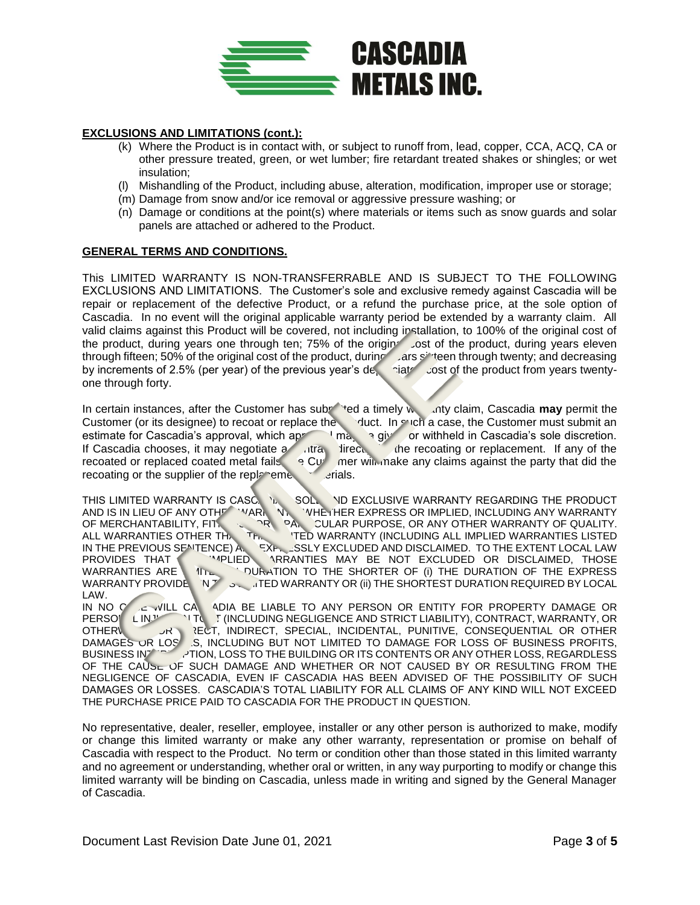

#### **EXCLUSIONS AND LIMITATIONS (cont.):**

- (k) Where the Product is in contact with, or subject to runoff from, lead, copper, CCA, ACQ, CA or other pressure treated, green, or wet lumber; fire retardant treated shakes or shingles; or wet insulation;
- (l) Mishandling of the Product, including abuse, alteration, modification, improper use or storage;
- (m) Damage from snow and/or ice removal or aggressive pressure washing; or
- (n) Damage or conditions at the point(s) where materials or items such as snow guards and solar panels are attached or adhered to the Product.

## **GENERAL TERMS AND CONDITIONS.**

This LIMITED WARRANTY IS NON-TRANSFERRABLE AND IS SUBJECT TO THE FOLLOWING EXCLUSIONS AND LIMITATIONS. The Customer's sole and exclusive remedy against Cascadia will be repair or replacement of the defective Product, or a refund the purchase price, at the sole option of Cascadia. In no event will the original applicable warranty period be extended by a warranty claim. All valid claims against this Product will be covered, not including installation, to 100% of the original cost of the product, during years one through ten; 75% of the origin solution of the product, during years eleven through fifteen; 50% of the original cost of the product, during ars sixteen through twenty; and decreasing by increments of 2.5% (per year) of the previous year's depreciated cost of the product from years twentyone through forty.

In certain instances, after the Customer has submitted a timely warranty claim, Cascadia may permit the Customer (or its designee) to recoat or replace the Product. In such a case, the Customer must submit an estimate for Cascadia's approval, which ap<sup>roduct</sup>um a submit or withheld in Cascadia's sole discretion. estimate for Cascadia's approval, which ap<sup>retion</sup> may be given or withheld in Cascadia's sole discretion. If Cascadia chooses, it may negotiate a contract direct in the recoating or replacement. If any of the recoated or replaced coated metal fails,  $\overline{q}$  Customer will make any claims against the party that did the recoating or the supplier of the replacement materials.

THIS LIMITED WARRANTY IS CASCADIA'S SOLE AND EXCLUSIVE WARRANTY REGARDING THE PRODUCT AND IS IN LIEU OF ANY OTHE AND AND AND AND THE PRODUCT AND IS IN LIEU OF ANY OTHER AND AND AND AND AND THE PRODUCT WARD IN WHETHER EXPRESS OR IMPLIED, INCLUDING ANY WARRANTY<br>PAND CULAR PURPOSE, OR ANY OTHER WARRANTY OF QUALITY.<br>ITEN WARRANTY (INCLUDING ALL IMPLIED WARRANTIES LISTED OF MERCHANTABILITY, FIT. CARPARTICULAR PURPOSE, OR ANY OTHER WARRANTY OF QUALITY. ALL WARRANTIES OTHER THAN THE THIS LIMITED WARRANTY (INCLUDING ALL IMPLIED WARRANTIES LISTED IN THE PREVIOUS SENTENCE) ARE EXPRESSLY EXCLUDED AND DISCLAIMED. TO THE EXTENT LOCAL LAW PROVIDES THAT A THOSE ARRANTIES MAY BE NOT EXCLUDED OR DISCLAIMED, THOSE WARRANTIES ARE  $\parallel$  1 DURATION TO THE SHORTER OF (i) THE DURATION OF THE EXPRESS WARRANTY PROVIDE  $\|N\mathcal{T}\|$  in the shortest duration required by Local  $\epsilon$ LAW.

IN NO CASE WILL CAS ADIA BE LIABLE TO ANY PERSON OR ENTITY FOR PROPERTY DAMAGE OR PERSONAL INJURY 1TO THICLUDING NEGLIGENCE AND STRICT LIABILITY), CONTRACT, WARRANTY, OR OTHERWISE FOR DIRECT, INDIRECT, SPECIAL, INCIDENTAL, PUNITIVE, CONSEQUENTIAL OR OTHER DAMAGES OR LOSES, INCLUDING BUT NOT LIMITED TO DAMAGE FOR LOSS OF BUSINESS PROFITS, BUSINESS INTERPRION, LOSS TO THE BUILDING OR ITS CONTENTS OR ANY OTHER LOSS, REGARDLESS OF THE CAUSL OF SUCH DAMAGE AND WHETHER OR NOT CAUSED BY OR RESULTING FROM THE NEGLIGENCE OF CASCADIA, EVEN IF CASCADIA HAS BEEN ADVISED OF THE POSSIBILITY OF SUCH DAMAGES OR LOSSES. CASCADIA'S TOTAL LIABILITY FOR ALL CLAIMS OF ANY KIND WILL NOT EXCEED THE PURCHASE PRICE PAID TO CASCADIA FOR THE PRODUCT IN QUESTION.

No representative, dealer, reseller, employee, installer or any other person is authorized to make, modify or change this limited warranty or make any other warranty, representation or promise on behalf of Cascadia with respect to the Product. No term or condition other than those stated in this limited warranty and no agreement or understanding, whether oral or written, in any way purporting to modify or change this limited warranty will be binding on Cascadia, unless made in writing and signed by the General Manager of Cascadia.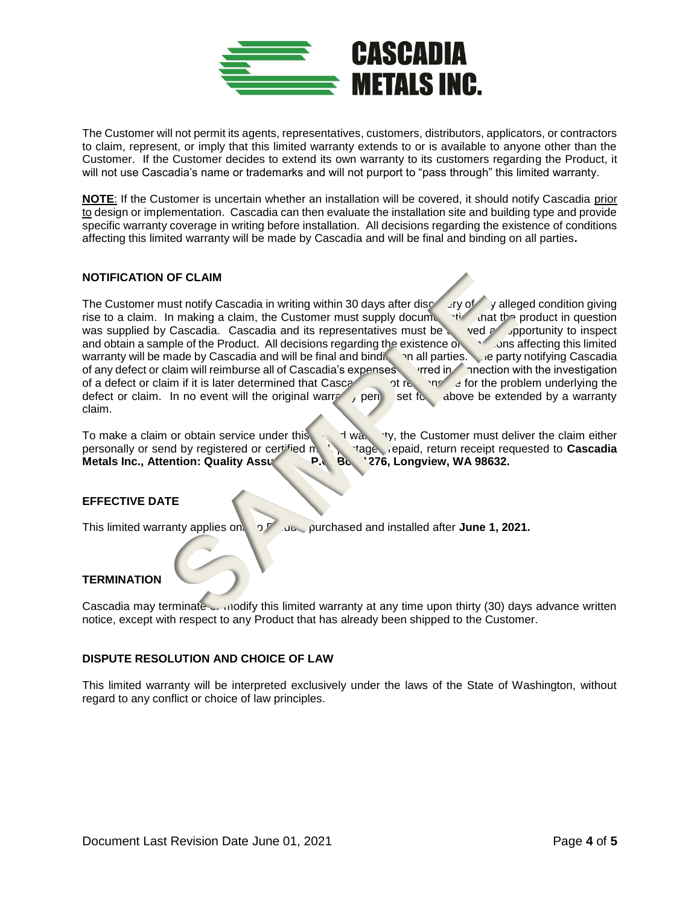

The Customer will not permit its agents, representatives, customers, distributors, applicators, or contractors to claim, represent, or imply that this limited warranty extends to or is available to anyone other than the Customer. If the Customer decides to extend its own warranty to its customers regarding the Product, it will not use Cascadia's name or trademarks and will not purport to "pass through" this limited warranty.

**NOTE**: If the Customer is uncertain whether an installation will be covered, it should notify Cascadia prior to design or implementation. Cascadia can then evaluate the installation site and building type and provide specific warranty coverage in writing before installation. All decisions regarding the existence of conditions affecting this limited warranty will be made by Cascadia and will be final and binding on all parties**.** 

#### **NOTIFICATION OF CLAIM**

The Customer must notify Cascadia in writing within 30 days after discovery of alleged condition giving rise to a claim. In making a claim, the Customer must supply documentation that the product in question was supplied by Cascadia. Cascadia and its representatives must be  $\sim$  ved an opportunity to inspect and obtain a sample of the Product. All decisions regarding the existence of conditions affecting this limited warranty will be made by Cascadia and will be final and binding on all parties. The party notifying Cascadia of any defect or claim will reimburse all of Cascadia's expenses incurred in connection with the investigation of a defect or claim if it is later determined that Cascalia is not response for the problem underlying the defect or claim. In no event will the original warranty period set for above be extended by a warranty claim.

To make a claim or obtain service under this  $\mathbf{A}$  in the  $\mathbf{A}$  warranty, the Customer must deliver the claim either personally or send by registered or certified mail, postage prepaid, return receipt requested to **Cascadia Metals Inc., Attention: Quality Assurance, P.C. Box 1276, Longview, WA 98632.** 

# **EFFECTIVE DATE**

This limited warranty applies on  $\sigma$  Product purchased and installed after **June 1, 2021.** 

#### **TERMINATION**

Cascadia may terminate  $\frac{1}{2}$  modify this limited warranty at any time upon thirty (30) days advance written notice, except with respect to any Product that has already been shipped to the Customer.

#### **DISPUTE RESOLUTION AND CHOICE OF LAW**

This limited warranty will be interpreted exclusively under the laws of the State of Washington, without regard to any conflict or choice of law principles.